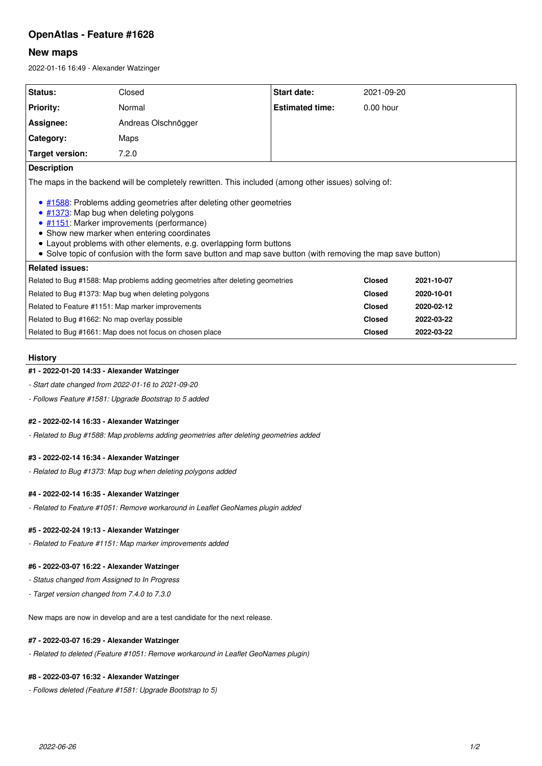# **OpenAtlas - Feature #1628**

### **New maps**

2022-01-16 16:49 - Alexander Watzinger

| Status:                                                                                                                                                                                                                                                                                                                                                                                                                                                                                                     | Closed              | Start date:            | 2021-09-20    |            |  |
|-------------------------------------------------------------------------------------------------------------------------------------------------------------------------------------------------------------------------------------------------------------------------------------------------------------------------------------------------------------------------------------------------------------------------------------------------------------------------------------------------------------|---------------------|------------------------|---------------|------------|--|
| <b>Priority:</b>                                                                                                                                                                                                                                                                                                                                                                                                                                                                                            | Normal              | <b>Estimated time:</b> | $0.00$ hour   |            |  |
| Assignee:                                                                                                                                                                                                                                                                                                                                                                                                                                                                                                   | Andreas Olschnögger |                        |               |            |  |
| Category:                                                                                                                                                                                                                                                                                                                                                                                                                                                                                                   | Maps                |                        |               |            |  |
| Target version:                                                                                                                                                                                                                                                                                                                                                                                                                                                                                             | 7.2.0               |                        |               |            |  |
| <b>Description</b>                                                                                                                                                                                                                                                                                                                                                                                                                                                                                          |                     |                        |               |            |  |
| The maps in the backend will be completely rewritten. This included (among other issues) solving of:<br>• #1588: Problems adding geometries after deleting other geometries<br>• #1373: Map bug when deleting polygons<br>• #1151: Marker improvements (performance)<br>• Show new marker when entering coordinates<br>• Layout problems with other elements, e.g. overlapping form buttons<br>• Solve topic of confusion with the form save button and map save button (with removing the map save button) |                     |                        |               |            |  |
| <b>Related issues:</b>                                                                                                                                                                                                                                                                                                                                                                                                                                                                                      |                     |                        |               |            |  |
| Related to Bug #1588: Map problems adding geometries after deleting geometries                                                                                                                                                                                                                                                                                                                                                                                                                              |                     |                        | <b>Closed</b> | 2021-10-07 |  |
| Related to Bug #1373: Map bug when deleting polygons                                                                                                                                                                                                                                                                                                                                                                                                                                                        |                     | <b>Closed</b>          | 2020-10-01    |            |  |
| Related to Feature #1151: Map marker improvements                                                                                                                                                                                                                                                                                                                                                                                                                                                           |                     | <b>Closed</b>          | 2020-02-12    |            |  |
| Related to Bug #1662: No map overlay possible                                                                                                                                                                                                                                                                                                                                                                                                                                                               |                     | <b>Closed</b>          | 2022-03-22    |            |  |

Related to Bug #1661: Map does not focus on chosen place **Closed 2022-03-22**

#### **History**

#### **#1 - 2022-01-20 14:33 - Alexander Watzinger**

*- Start date changed from 2022-01-16 to 2021-09-20*

*- Follows Feature #1581: Upgrade Bootstrap to 5 added*

#### **#2 - 2022-02-14 16:33 - Alexander Watzinger**

*- Related to Bug #1588: Map problems adding geometries after deleting geometries added*

### **#3 - 2022-02-14 16:34 - Alexander Watzinger**

*- Related to Bug #1373: Map bug when deleting polygons added*

#### **#4 - 2022-02-14 16:35 - Alexander Watzinger**

*- Related to Feature #1051: Remove workaround in Leaflet GeoNames plugin added*

#### **#5 - 2022-02-24 19:13 - Alexander Watzinger**

*- Related to Feature #1151: Map marker improvements added*

#### **#6 - 2022-03-07 16:22 - Alexander Watzinger**

*- Status changed from Assigned to In Progress*

*- Target version changed from 7.4.0 to 7.3.0*

New maps are now in develop and are a test candidate for the next release.

### **#7 - 2022-03-07 16:29 - Alexander Watzinger**

*- Related to deleted (Feature #1051: Remove workaround in Leaflet GeoNames plugin)*

#### **#8 - 2022-03-07 16:32 - Alexander Watzinger**

*- Follows deleted (Feature #1581: Upgrade Bootstrap to 5)*